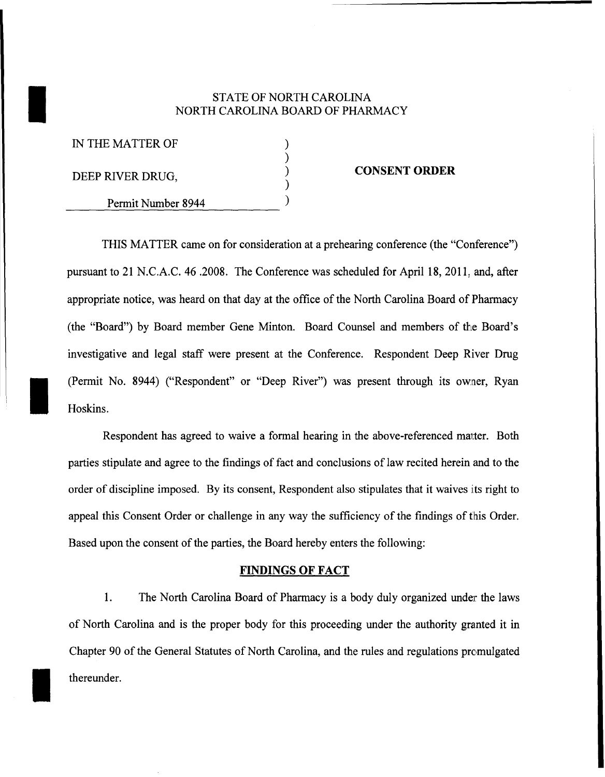# STATE OF NORTH CAROLINA<br>NORTH CAROLINA BOARD OF PHAR NORTH CAROLINA BOARD OF PHARMACY

| IN THE MATTER OF   |  |
|--------------------|--|
|                    |  |
| DEEP RIVER DRUG,   |  |
| Permit Number 8944 |  |
|                    |  |

I

I

#### **CONSENT ORDER**

THIS MATTER came on for consideration at a prehearing conference (the "Conference") pursuant to 21 N.C.A.C. 46 .2008. The Conference was scheduled for April 18,2011, and, after appropriate notice, was heard on that day at the office of the North Carolina Board of Pharmacy (the "Board") by Board member Gene Minton. Board Counsel and members of the Board's investigative and legal staff were present at the Conference. Respondent Deep River Drug (Permit No. 8944) ("Respondent" or "Deep River") was present through its owner, Ryan Hoskins.

Respondent has agreed to waive a formal hearing in the above-referenced matter. Both parties stipulate and agree to the findings of fact and conclusions of law recited herein and to the order of discipline imposed. By its consent, Respondent also stipulates that it waives its right to appeal this Consent Order or challenge in any way the sufficiency of the findings of this Order. Based upon the consent of the parties, the Board hereby enters the following:

#### **FINDINGS OF FACT**

1. The North Carolina Board of Pharmacy is a body duly organized under the laws of North Carolina and is the proper body for this proceeding under the authority granted it in Chapter 90 of the General Statutes of North Carolina, and the rules and regulations promulgated thereunder.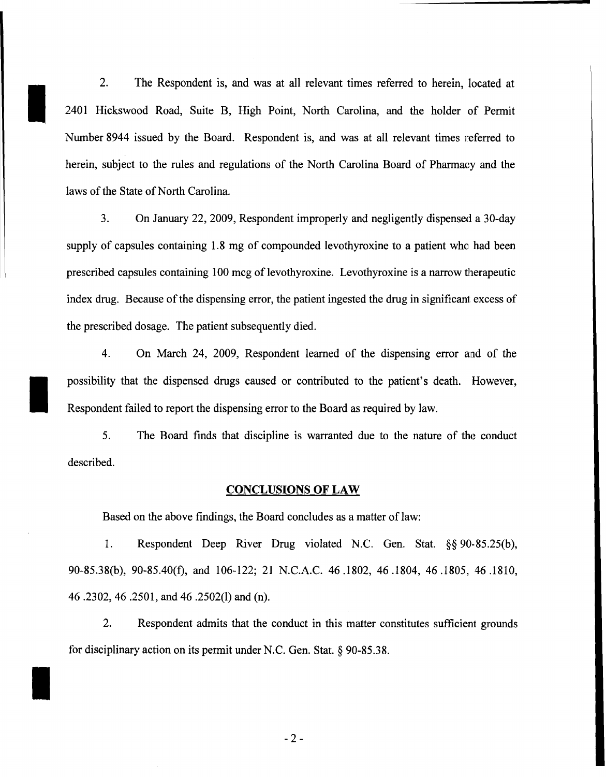2. The Respondent is, and was at all relevant times referred to herein, located at 2401 Hickswood Road, Suite B, High Point, North Carolina, and the holder of Permit Number 8944 issued by the Board. Respondent is, and was at all relevant times referred to herein, subject to the rules and regulations of the North Carolina Board of Pharmacy and the laws of the State of North Carolina.

I

I

I

3. On January 22, 2009, Respondent improperly and negligently dispensed a 30-day supply of capsules containing 1.8 mg of compounded levothyroxine to a patient who had been prescribed capsules containing 100 mcg of levothyroxine. Levothyroxine is a narrow therapeutic index drug. Because of the dispensing error, the patient ingested the drug in significant excess of the prescribed dosage. The patient subsequently died.

4. On March 24, 2009, Respondent learned of the dispensing error and of the possibility that the dispensed drugs caused or contributed to the patient's death. However, Respondent failed to report the dispensing error to the Board as required by law.

5. The Board finds that discipline is warranted due to the nature of the conduct described.

#### **CONCLUSIONS OF LAW**

Based on the above findings, the Board concludes as a matter of law:

1. Respondent Deep River Drug violated N.C. Gen. Stat. §§ 90-85.25(b), 90-85.38(b), 90-85.40(t), and 106-122; 21 N.C.A.C. 46.1802, 46.1804, 46.1805, 46.1810, 46.2302,46 .2501, and 46.2502(1) and (n).

2. Respondent admits that the conduct in this matter constitutes sufficient grounds for disciplinary action on its permit under N.C. Gen. Stat. § 90-85.38.

-2-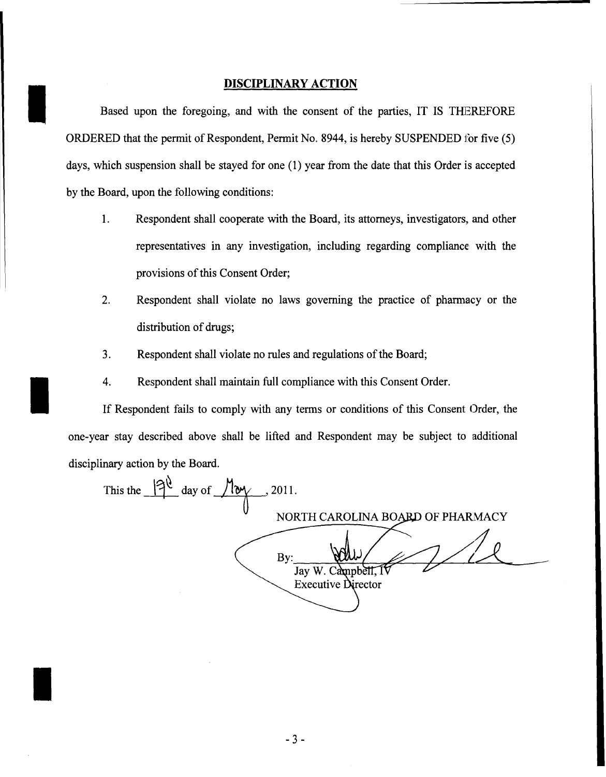#### **DISCIPLINARY ACTION**

I

I

I

Based upon the foregoing, and with the consent of the parties, IT IS THEREFORE ORDERED that the permit of Respondent, Permit No. 8944, is hereby SUSPENDED for five (5) days, which suspension shall be stayed for one (1) year from the date that this Order is accepted by the Board, upon the following conditions:

- 1. Respondent shall cooperate with the Board, its attorneys, investigators, and other representatives in any investigation, including regarding compliance with the provisions of this Consent Order;
- 2. Respondent shall violate no laws governing the practice of pharmacy or the distribution of drugs;
- 3. Respondent shall violate no rules and regulations of the Board;
- 4. Respondent shall maintain full compliance with this Consent Order.

If Respondent fails to comply with any terms or conditions of this Consent Order, the one-year stay described above shall be lifted and Respondent may be subject to additional disciplinary action by the Board.

This the  $\frac{|3^{\ell}}{\ell}$  day of  $\sqrt{\frac{2^{\ell}}{\ell}}$ , 2011. NORTH CAROLINA BOARD OF PHARMACY By: Jay W. Campbell, I **Executive Director**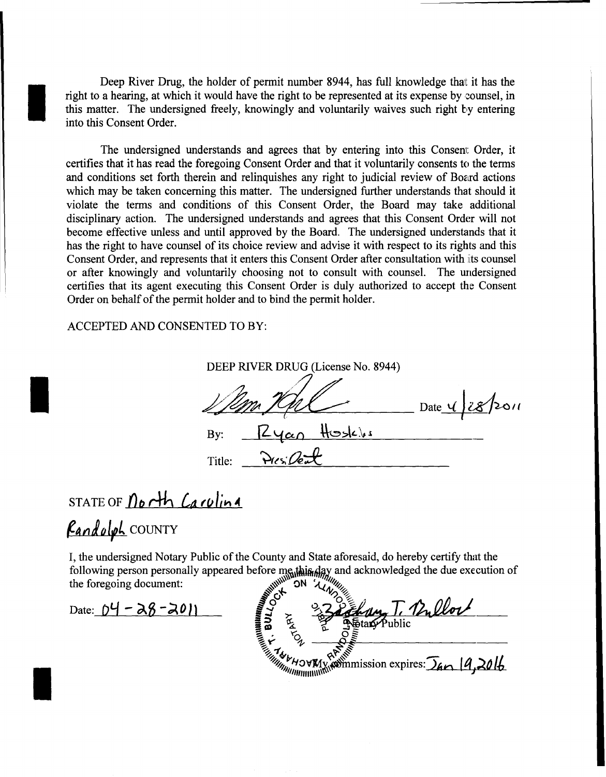Deep River Drug, the holder of permit number 8944, has full knowledge that it has the right to a hearing, at which it would have the right to be represented at its expense by counsel, in this matter. The undersigned freely, knowingly and voluntarily waives such right by entering into this Consent Order.

The undersigned understands and agrees that by entering into this Consent Order, it certifies that it has read the foregoing Consent Order and that it voluntarily consents to the terms and conditions set forth therein and relinquishes any right to judicial review of Board actions which may be taken concerning this matter. The undersigned further understands that should it violate the terms and conditions of this Consent Order, the Board may take additional disciplinary action. The undersigned understands and agrees that this Consent Order will not become effective unless and until approved by the Board. The undersigned understands that it has the right to have counsel of its choice review and advise it with respect to its rights and this Consent Order, and represents that it enters this Consent Order after consultation with iits counsel or after knowingly and voluntarily choosing not to consult with counsel. The undersigned certifies that its agent executing this Consent Order is duly authorized to accept the Consent Order on behalf of the permit holder and to bind the permit holder.

ACCEPTED AND CONSENTED TO BY:

| DEEP RIVER DRUG (License No. 8944) |                |
|------------------------------------|----------------|
|                                    | Date 1 28/2011 |
| Kyan Hoskis<br>By:                 |                |
| $P_{115}/P_{27}$<br>Title:         |                |

### STATE OF *North Carolina*

## *<u>Eandolph</u>* COUNTY

I

I

I

I, the undersigned Notary Public of the County and State aforesaid, do hereby certify that the following person personally appeared before  $\mathbf{mg}_0$ this  $\mathbf{day}$  and acknowledged the due execution of the foregoing document:  $\mathbb{R}^N$  on ' $\mathbb{Z}^N$ ,  $\mathbb{Z}^N$ 

**MARK SIT ALWAYS** Date: 04 - 28 - 2011 **I**s 222 Ehang T. Bullock **in** the state of the Wallet It by BREATH APPLIES CONTROLLED AND THE APPLICATION OF THE APPLICATION OF THE APPLICATION OF THE APPLICATION OF THE APPLICATION OF THE APPLICATION OF THE APPLICATION OF THE APPLICATION OF THE APPLICATION OF THE APPLICATION